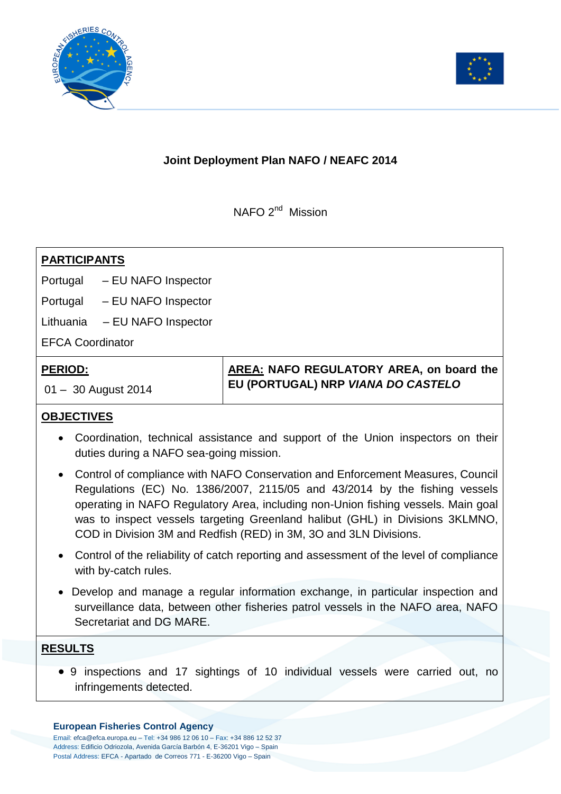



## **Joint Deployment Plan NAFO / NEAFC 2014**

NAFO 2<sup>nd</sup> Mission

# **PARTICIPANTS** Portugal – EU NAFO Inspector Portugal – EU NAFO Inspector Lithuania – EU NAFO Inspector EFCA Coordinator **PERIOD:**

01 – 30 August 2014

**AREA: NAFO REGULATORY AREA, on board the EU (PORTUGAL) NRP** *VIANA DO CASTELO*

## **OBJECTIVES**

- Coordination, technical assistance and support of the Union inspectors on their duties during a NAFO sea-going mission.
- Control of compliance with NAFO Conservation and Enforcement Measures, Council Regulations (EC) No. 1386/2007, 2115/05 and 43/2014 by the fishing vessels operating in NAFO Regulatory Area, including non-Union fishing vessels. Main goal was to inspect vessels targeting Greenland halibut (GHL) in Divisions 3KLMNO, COD in Division 3M and Redfish (RED) in 3M, 3O and 3LN Divisions.
- Control of the reliability of catch reporting and assessment of the level of compliance with by-catch rules.
- Develop and manage a regular information exchange, in particular inspection and surveillance data, between other fisheries patrol vessels in the NAFO area, NAFO Secretariat and DG MARE.

### **RESULTS**

 9 inspections and 17 sightings of 10 individual vessels were carried out, no infringements detected.

#### **European Fisheries Control Agency**

Email: efca@efca.europa.eu – Tel: +34 986 12 06 10 – Fax: +34 886 12 52 37 Address: Edificio Odriozola, Avenida García Barbón 4, E-36201 Vigo – Spain Postal Address: EFCA - Apartado de Correos 771 - E-36200 Vigo – Spain